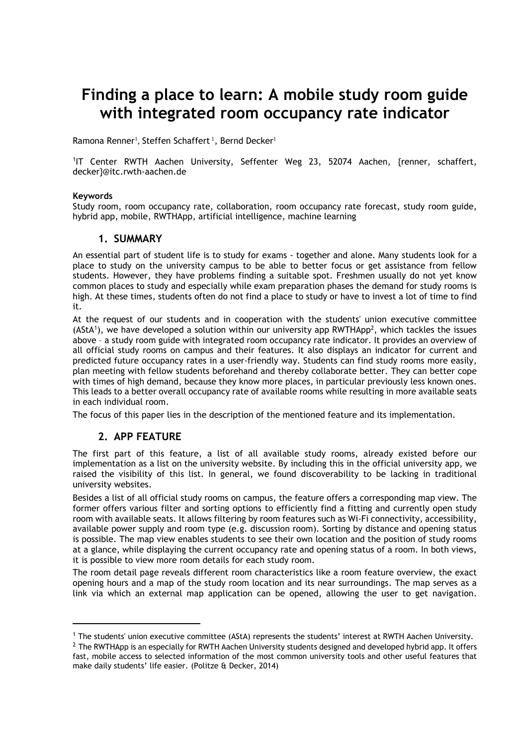# **Finding a place to learn: A mobile study room guide with integrated room occupancy rate indicator**

Ramona Renner<sup>1</sup>, Steffen Schaffert <sup>1</sup>, Bernd Decker<sup>1</sup>

1 IT Center RWTH Aachen University, Seffenter Weg 23, 52074 Aachen, {renner, [schaffert,](mailto:schaffert,%20decker%7d@itc.rwth-aachen.de) [decker}@itc.rwth-aachen.de](mailto:schaffert,%20decker%7d@itc.rwth-aachen.de)

#### **Keywords**

Study room, room occupancy rate, collaboration, room occupancy rate forecast, study room guide, hybrid app, mobile, RWTHApp, artificial intelligence, machine learning

### **1. SUMMARY**

An essential part of student life is to study for exams - together and alone. Many students look for a place to study on the university campus to be able to better focus or get assistance from fellow students. However, they have problems finding a suitable spot. Freshmen usually do not yet know common places to study and especially while exam preparation phases the demand for study rooms is high. At these times, students often do not find a place to study or have to invest a lot of time to find it.

At the request of our students and in cooperation with the students' union executive committee (AStA<sup>1</sup>), we have developed a solution within our university app RWTHApp<sup>2</sup>, which tackles the issues above – a study room guide with integrated room occupancy rate indicator. It provides an overview of all official study rooms on campus and their features. It also displays an indicator for current and predicted future occupancy rates in a user-friendly way. Students can find study rooms more easily, plan meeting with fellow students beforehand and thereby collaborate better. They can better cope with times of high demand, because they know more places, in particular previously less known ones. This leads to a better overall occupancy rate of available rooms while resulting in more available seats in each individual room.

The focus of this paper lies in the description of the mentioned feature and its implementation.

## **2. APP FEATURE**

 $\overline{a}$ 

The first part of this feature, a list of all available study rooms, already existed before our implementation as a list on the university website. By including this in the official university app, we raised the visibility of this list. In general, we found discoverability to be lacking in traditional university websites.

Besides a list of all official study rooms on campus, the feature offers a corresponding map view. The former offers various filter and sorting options to efficiently find a fitting and currently open study room with available seats. It allows filtering by room features such as Wi-Fi connectivity, accessibility, available power supply and room type (e.g. discussion room). Sorting by distance and opening status is possible. The map view enables students to see their own location and the position of study rooms at a glance, while displaying the current occupancy rate and opening status of a room. In both views, it is possible to view more room details for each study room.

The room detail page reveals different room characteristics like a room feature overview, the exact opening hours and a map of the study room location and its near surroundings. The map serves as a link via which an external map application can be opened, allowing the user to get navigation.

<sup>1</sup> The students' union executive committee (AStA) represents the students' interest at RWTH Aachen University.

 $2$  The RWTHApp is an especially for RWTH Aachen University students designed and developed hybrid app. It offers fast, mobile access to selected information of the most common university tools and other useful features that make daily students' life easier. (Politze & Decker, 2014)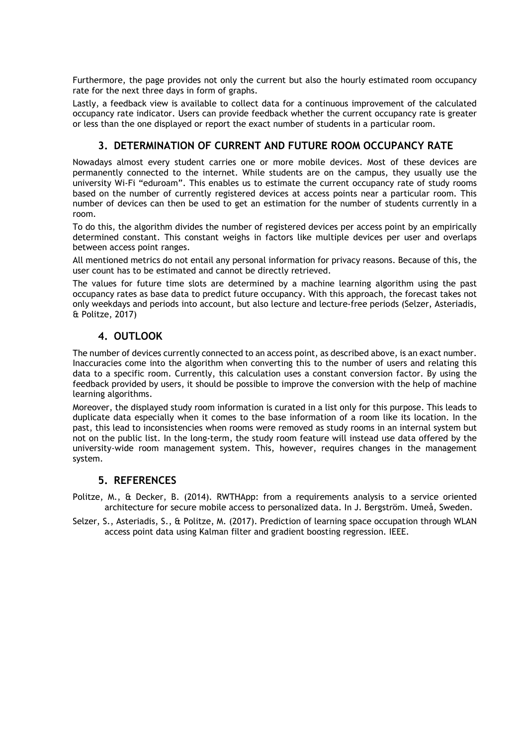Furthermore, the page provides not only the current but also the hourly estimated room occupancy rate for the next three days in form of graphs.

Lastly, a feedback view is available to collect data for a continuous improvement of the calculated occupancy rate indicator. Users can provide feedback whether the current occupancy rate is greater or less than the one displayed or report the exact number of students in a particular room.

# **3. DETERMINATION OF CURRENT AND FUTURE ROOM OCCUPANCY RATE**

Nowadays almost every student carries one or more mobile devices. Most of these devices are permanently connected to the internet. While students are on the campus, they usually use the university Wi-Fi "eduroam". This enables us to estimate the current occupancy rate of study rooms based on the number of currently registered devices at access points near a particular room. This number of devices can then be used to get an estimation for the number of students currently in a room.

To do this, the algorithm divides the number of registered devices per access point by an empirically determined constant. This constant weighs in factors like multiple devices per user and overlaps between access point ranges.

All mentioned metrics do not entail any personal information for privacy reasons. Because of this, the user count has to be estimated and cannot be directly retrieved.

The values for future time slots are determined by a machine learning algorithm using the past occupancy rates as base data to predict future occupancy. With this approach, the forecast takes not only weekdays and periods into account, but also lecture and lecture-free periods (Selzer, Asteriadis, & Politze, 2017)

# **4. OUTLOOK**

The number of devices currently connected to an access point, as described above, is an exact number. Inaccuracies come into the algorithm when converting this to the number of users and relating this data to a specific room. Currently, this calculation uses a constant conversion factor. By using the feedback provided by users, it should be possible to improve the conversion with the help of machine learning algorithms.

Moreover, the displayed study room information is curated in a list only for this purpose. This leads to duplicate data especially when it comes to the base information of a room like its location. In the past, this lead to inconsistencies when rooms were removed as study rooms in an internal system but not on the public list. In the long-term, the study room feature will instead use data offered by the university-wide room management system. This, however, requires changes in the management system.

# **5. REFERENCES**

Politze, M., & Decker, B. (2014). RWTHApp: from a requirements analysis to a service oriented architecture for secure mobile access to personalized data. In J. Bergström. Umeå, Sweden.

Selzer, S., Asteriadis, S., & Politze, M. (2017). Prediction of learning space occupation through WLAN access point data using Kalman filter and gradient boosting regression. IEEE.